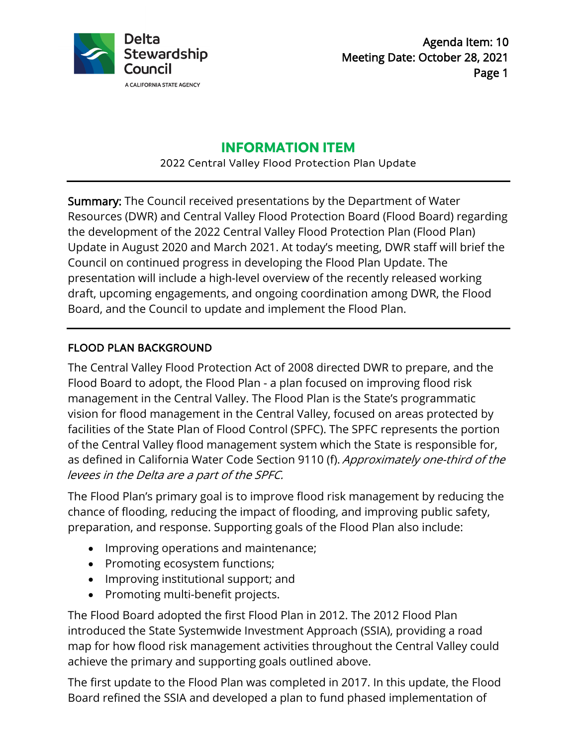

# **INFORMATION ITEM**

2022 Central Valley Flood Protection Plan Update

Summary: The Council received presentations by the Department of Water Resources (DWR) and Central Valley Flood Protection Board (Flood Board) regarding the development of the 2022 Central Valley Flood Protection Plan (Flood Plan) Update in August 2020 and March 2021. At today's meeting, DWR staff will brief the Council on continued progress in developing the Flood Plan Update. The presentation will include a high-level overview of the recently released working draft, upcoming engagements, and ongoing coordination among DWR, the Flood Board, and the Council to update and implement the Flood Plan.

#### FLOOD PLAN BACKGROUND

The Central Valley Flood Protection Act of 2008 directed DWR to prepare, and the Flood Board to adopt, the Flood Plan - a plan focused on improving flood risk management in the Central Valley. The Flood Plan is the State's programmatic vision for flood management in the Central Valley, focused on areas protected by facilities of the State Plan of Flood Control (SPFC). The SPFC represents the portion of the Central Valley flood management system which the State is responsible for, as defined in California Water Code Section 9110 (f). Approximately one-third of the levees in the Delta are a part of the SPFC.

The Flood Plan's primary goal is to improve flood risk management by reducing the chance of flooding, reducing the impact of flooding, and improving public safety, preparation, and response. Supporting goals of the Flood Plan also include:

- Improving operations and maintenance;
- Promoting ecosystem functions;
- Improving institutional support; and
- Promoting multi-benefit projects.

The Flood Board adopted the first Flood Plan in 2012. The 2012 Flood Plan introduced the State Systemwide Investment Approach (SSIA), providing a road map for how flood risk management activities throughout the Central Valley could achieve the primary and supporting goals outlined above.

The first update to the Flood Plan was completed in 2017. In this update, the Flood Board refined the SSIA and developed a plan to fund phased implementation of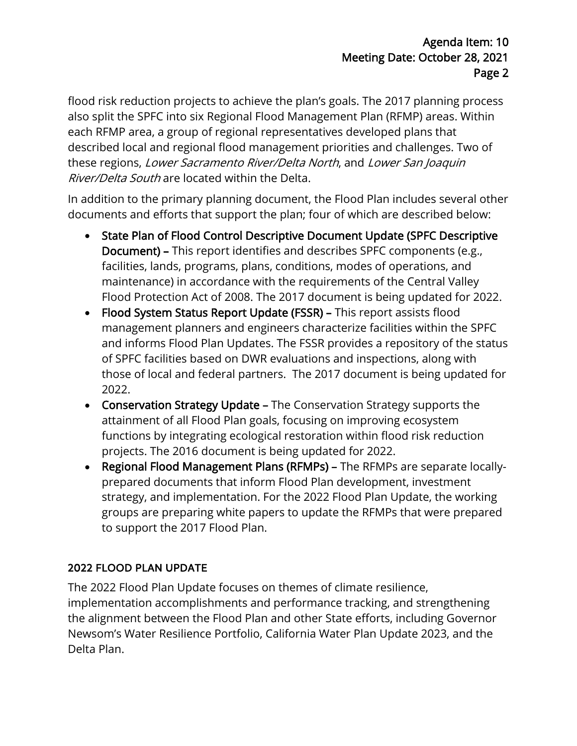flood risk reduction projects to achieve the plan's goals. The 2017 planning process also split the SPFC into six Regional Flood Management Plan (RFMP) areas. Within each RFMP area, a group of regional representatives developed plans that described local and regional flood management priorities and challenges. Two of these regions, Lower Sacramento River/Delta North, and Lower San Joaquin River/Delta South are located within the Delta.

In addition to the primary planning document, the Flood Plan includes several other documents and efforts that support the plan; four of which are described below:

- State Plan of Flood Control Descriptive Document Update (SPFC Descriptive Document) – This report identifies and describes SPFC components (e.g., facilities, lands, programs, plans, conditions, modes of operations, and maintenance) in accordance with the requirements of the Central Valley Flood Protection Act of 2008. The 2017 document is being updated for 2022.
- Flood System Status Report Update (FSSR) This report assists flood management planners and engineers characterize facilities within the SPFC and informs Flood Plan Updates. The FSSR provides a repository of the status of SPFC facilities based on DWR evaluations and inspections, along with those of local and federal partners. The 2017 document is being updated for 2022.
- Conservation Strategy Update The Conservation Strategy supports the attainment of all Flood Plan goals, focusing on improving ecosystem functions by integrating ecological restoration within flood risk reduction projects. The 2016 document is being updated for 2022.
- Regional Flood Management Plans (RFMPs) The RFMPs are separate locallyprepared documents that inform Flood Plan development, investment strategy, and implementation. For the 2022 Flood Plan Update, the working groups are preparing white papers to update the RFMPs that were prepared to support the 2017 Flood Plan.

# 2022 FLOOD PLAN UPDATE

The 2022 Flood Plan Update focuses on themes of climate resilience, implementation accomplishments and performance tracking, and strengthening the alignment between the Flood Plan and other State efforts, including Governor Newsom's Water Resilience Portfolio, California Water Plan Update 2023, and the Delta Plan.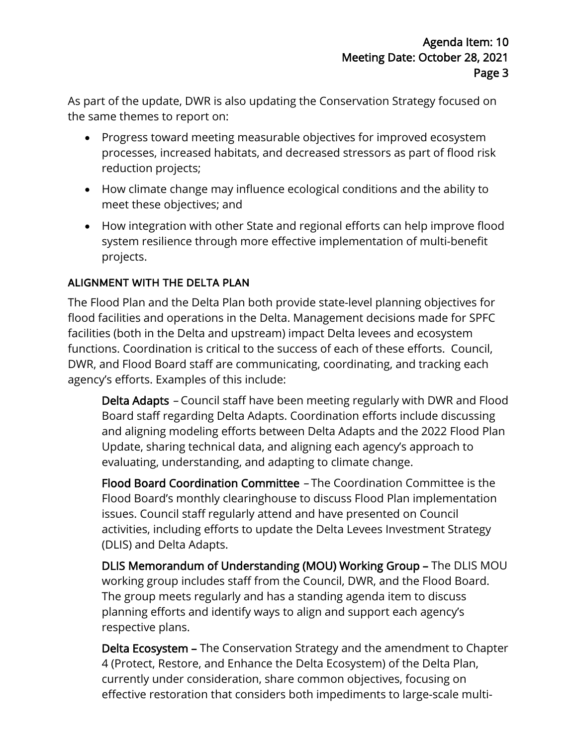As part of the update, DWR is also updating the Conservation Strategy focused on the same themes to report on:

- Progress toward meeting measurable objectives for improved ecosystem processes, increased habitats, and decreased stressors as part of flood risk reduction projects;
- How climate change may influence ecological conditions and the ability to meet these objectives; and
- How integration with other State and regional efforts can help improve flood system resilience through more effective implementation of multi-benefit projects.

# ALIGNMENT WITH THE DELTA PLAN

The Flood Plan and the Delta Plan both provide state-level planning objectives for flood facilities and operations in the Delta. Management decisions made for SPFC facilities (both in the Delta and upstream) impact Delta levees and ecosystem functions. Coordination is critical to the success of each of these efforts. Council, DWR, and Flood Board staff are communicating, coordinating, and tracking each agency's efforts. Examples of this include:

Delta Adapts – Council staff have been meeting regularly with DWR and Flood Board staff regarding Delta Adapts. Coordination efforts include discussing and aligning modeling efforts between Delta Adapts and the 2022 Flood Plan Update, sharing technical data, and aligning each agency's approach to evaluating, understanding, and adapting to climate change.

Flood Board Coordination Committee – The Coordination Committee is the Flood Board's monthly clearinghouse to discuss Flood Plan implementation issues. Council staff regularly attend and have presented on Council activities, including efforts to update the Delta Levees Investment Strategy (DLIS) and Delta Adapts.

DLIS Memorandum of Understanding (MOU) Working Group – The DLIS MOU working group includes staff from the Council, DWR, and the Flood Board. The group meets regularly and has a standing agenda item to discuss planning efforts and identify ways to align and support each agency's respective plans.

Delta Ecosystem – The Conservation Strategy and the amendment to Chapter 4 (Protect, Restore, and Enhance the Delta Ecosystem) of the Delta Plan, currently under consideration, share common objectives, focusing on effective restoration that considers both impediments to large-scale multi